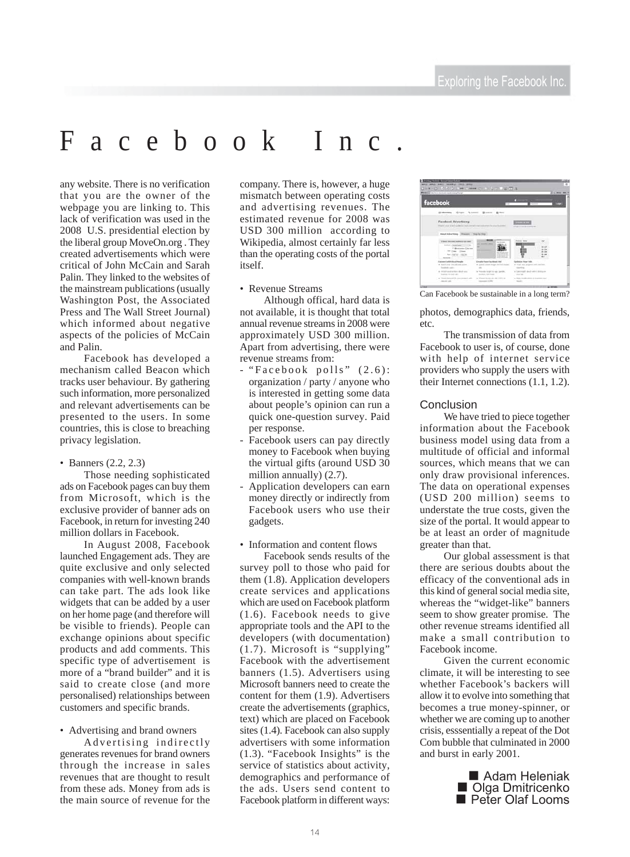# Facebook Inc.

any website. There is no verification that you are the owner of the webpage you are linking to. This lack of verification was used in the 2008 U.S. presidential election by the liberal group MoveOn.org . They created advertisements which were critical of John McCain and Sarah Palin. They linked to the websites of the mainstream publications (usually Washington Post, the Associated Press and The Wall Street Journal) which informed about negative aspects of the policies of McCain and Palin.

Facebook has developed a mechanism called Beacon which tracks user behaviour. By gathering such information, more personalized and relevant advertisements can be presented to the users. In some countries, this is close to breaching privacy legislation.

### • Banners (2.2, 2.3)

Those needing sophisticated ads on Facebook pages can buy them from Microsoft, which is the exclusive provider of banner ads on Facebook, in return for investing 240 million dollars in Facebook.

In August 2008, Facebook launched Engagement ads. They are quite exclusive and only selected companies with well-known brands can take part. The ads look like widgets that can be added by a user on her home page (and therefore will be visible to friends). People can exchange opinions about specific products and add comments. This specific type of advertisement is more of a "brand builder" and it is said to create close (and more personalised) relationships between customers and specific brands.

• Advertising and brand owners

Advertising indirectly generates revenues for brand owners through the increase in sales revenues that are thought to result from these ads. Money from ads is the main source of revenue for the

company. There is, however, a huge mismatch between operating costs and advertising revenues. The estimated revenue for 2008 was USD 300 million according to Wikipedia, almost certainly far less than the operating costs of the portal itself.

### • Revenue Streams

Although offical, hard data is not available, it is thought that total annual revenue streams in 2008 were approximately USD 300 million. Apart from advertising, there were revenue streams from:

- "Facebook polls" (2.6): organization / party / anyone who is interested in getting some data about people's opinion can run a quick one-question survey. Paid per response.
- Facebook users can pay directly money to Facebook when buying the virtual gifts (around USD 30 million annually) (2.7).
- Application developers can earn money directly or indirectly from Facebook users who use their gadgets.
- Information and content flows

Facebook sends results of the survey poll to those who paid for them (1.8). Application developers create services and applications which are used on Facebook platform (1.6). Facebook needs to give appropriate tools and the API to the developers (with documentation) (1.7). Microsoft is "supplying" Facebook with the advertisement banners (1.5). Advertisers using Microsoft banners need to create the content for them (1.9). Advertisers create the advertisements (graphics, text) which are placed on Facebook sites (1.4). Facebook can also supply advertisers with some information (1.3). "Facebook Insights" is the service of statistics about activity, demographics and performance of the ads. Users send content to Facebook platform in different ways:



Can Facebook be sustainable in a long term?

photos, demographics data, friends, etc.

The transmission of data from Facebook to user is, of course, done with help of internet service providers who supply the users with their Internet connections (1.1, 1.2).

## **Conclusion**

We have tried to piece together information about the Facebook business model using data from a multitude of official and informal sources, which means that we can only draw provisional inferences. The data on operational expenses (USD 200 million) seems to understate the true costs, given the size of the portal. It would appear to be at least an order of magnitude greater than that.

Our global assessment is that there are serious doubts about the efficacy of the conventional ads in this kind of general social media site, whereas the "widget-like" banners seem to show greater promise. The other revenue streams identified all make a small contribution to Facebook income.

Given the current economic climate, it will be interesting to see whether Facebook's backers will allow it to evolve into something that becomes a true money-spinner, or whether we are coming up to another crisis, esssentially a repeat of the Dot Com bubble that culminated in 2000 and burst in early 2001.

> ■ Adam Heleniak<br>■ Olga Dmitricenko ■ Peter Olaf Looms